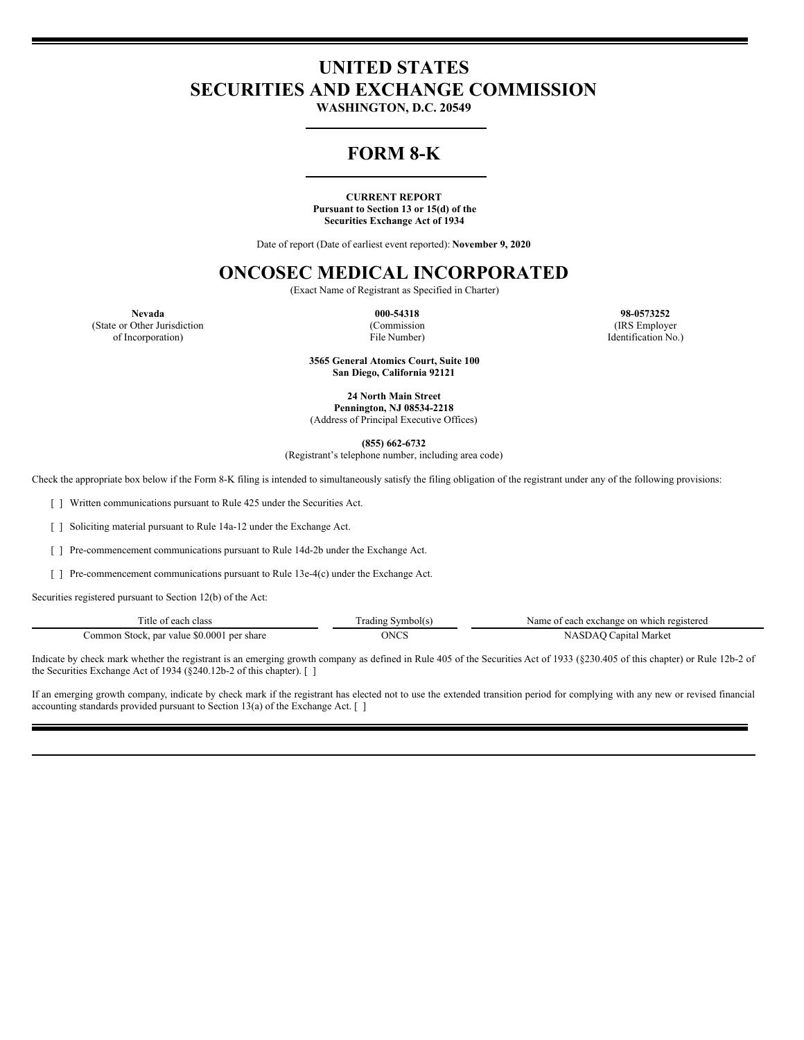# **UNITED STATES SECURITIES AND EXCHANGE COMMISSION**

**WASHINGTON, D.C. 20549**

# **FORM 8-K**

#### **CURRENT REPORT Pursuant to Section 13 or 15(d) of the Securities Exchange Act of 1934**

Date of report (Date of earliest event reported): **November 9, 2020**

# **ONCOSEC MEDICAL INCORPORATED**

(Exact Name of Registrant as Specified in Charter)

(Commission File Number)

**Nevada 000-54318 98-0573252** (IRS Employer Identification No.)

(State or Other Jurisdiction of Incorporation)

> **3565 General Atomics Court, Suite 100 San Diego, California 92121**

**24 North Main Street Pennington, NJ 08534-2218** (Address of Principal Executive Offices)

**(855) 662-6732**

(Registrant's telephone number, including area code)

Check the appropriate box below if the Form 8-K filing is intended to simultaneously satisfy the filing obligation of the registrant under any of the following provisions:

[ ] Written communications pursuant to Rule 425 under the Securities Act.

[ ] Soliciting material pursuant to Rule 14a-12 under the Exchange Act.

[ ] Pre-commencement communications pursuant to Rule 14d-2b under the Exchange Act.

[ ] Pre-commencement communications pursuant to Rule 13e-4(c) under the Exchange Act.

Securities registered pursuant to Section 12(b) of the Act:

| Ţ.<br>Title<br>class<br>each<br>$\sim$<br>.                 | radıng<br>abolts' | registered<br>Nam<br>exchang<br>on which<br>0.00h |
|-------------------------------------------------------------|-------------------|---------------------------------------------------|
| \$0.000<br>per share<br>ommon<br>value<br>nar "<br>Sto<br>. | ONCS<br>.         | Market<br>apital<br>3 L Z                         |

Indicate by check mark whether the registrant is an emerging growth company as defined in Rule 405 of the Securities Act of 1933 (§230.405 of this chapter) or Rule 12b-2 of the Securities Exchange Act of 1934 (§240.12b-2 of this chapter). [ ]

If an emerging growth company, indicate by check mark if the registrant has elected not to use the extended transition period for complying with any new or revised financial accounting standards provided pursuant to Section 13(a) of the Exchange Act. [ ]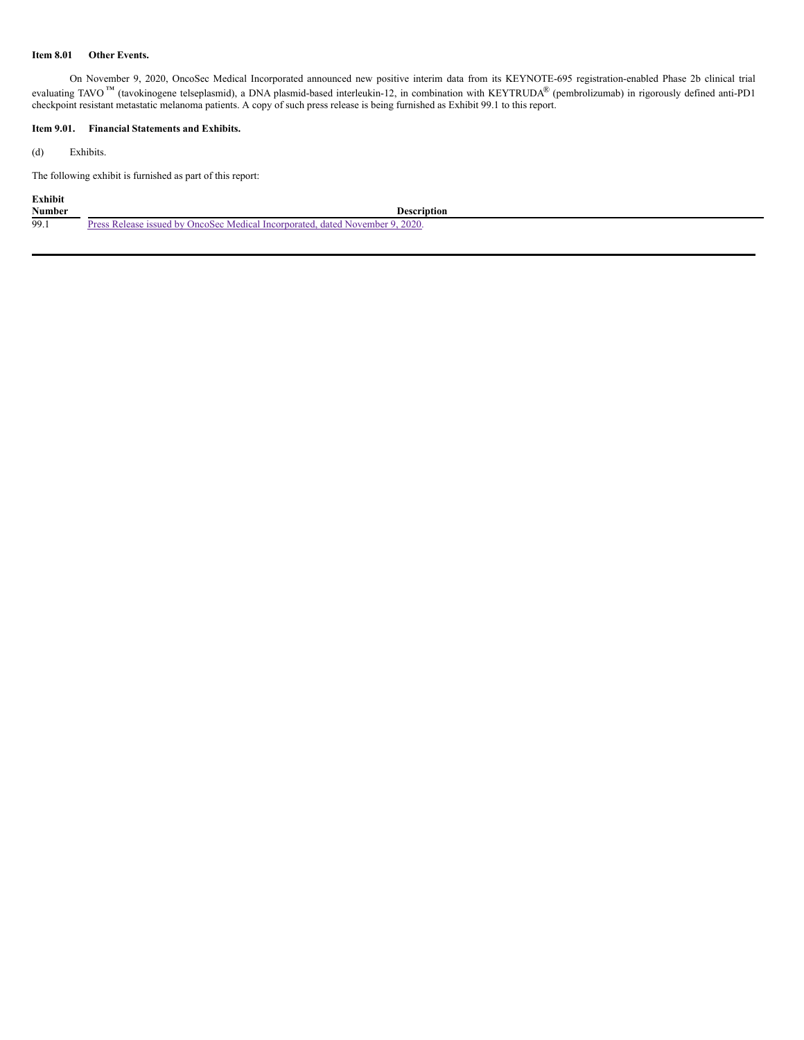#### **Item 8.01 Other Events.**

On November 9, 2020, OncoSec Medical Incorporated announced new positive interim data from its KEYNOTE-695 registration-enabled Phase 2b clinical trial evaluating TAVO<sup>™</sup> (tavokinogene telseplasmid), a DNA plasmid-based interleukin-12, in combination with KEYTRUDA<sup>®</sup> (pembrolizumab) in rigorously defined anti-PD1 checkpoint resistant metastatic melanoma patients. A copy of such press release is being furnished as Exhibit 99.1 to this report.

# **Item 9.01. Financial Statements and Exhibits.**

(d) Exhibits.

The following exhibit is furnished as part of this report:

# **Exhibit**

| <b>Number</b> | Description                                                                                     |
|---------------|-------------------------------------------------------------------------------------------------|
| 99.1          | 9.2020<br>OncoSec Medical Incorporated.<br>Release issued<br>dated November 9.<br>' hv<br>Prove |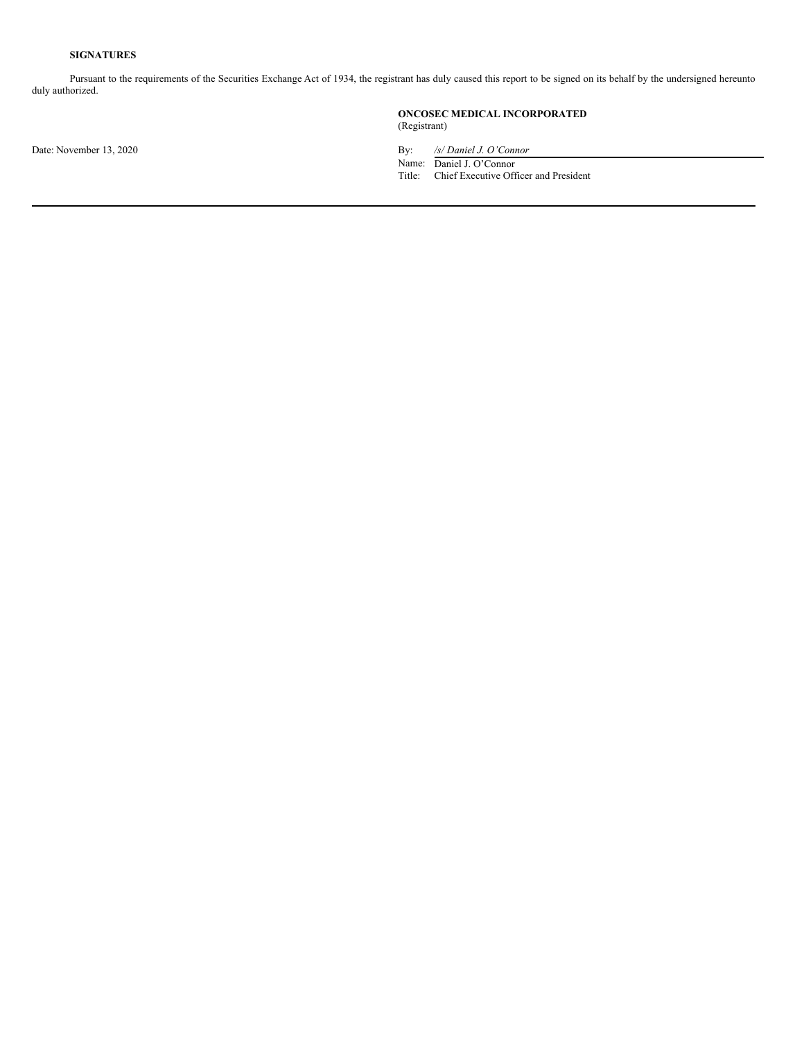# **SIGNATURES**

Pursuant to the requirements of the Securities Exchange Act of 1934, the registrant has duly caused this report to be signed on its behalf by the undersigned hereunto duly authorized.

> **ONCOSEC MEDICAL INCORPORATED** (Registrant)

Date: November 13, 2020 By: */s/ Daniel J. O'Connor*

Name: Daniel J. O'Connor

Title: Chief Executive Officer and President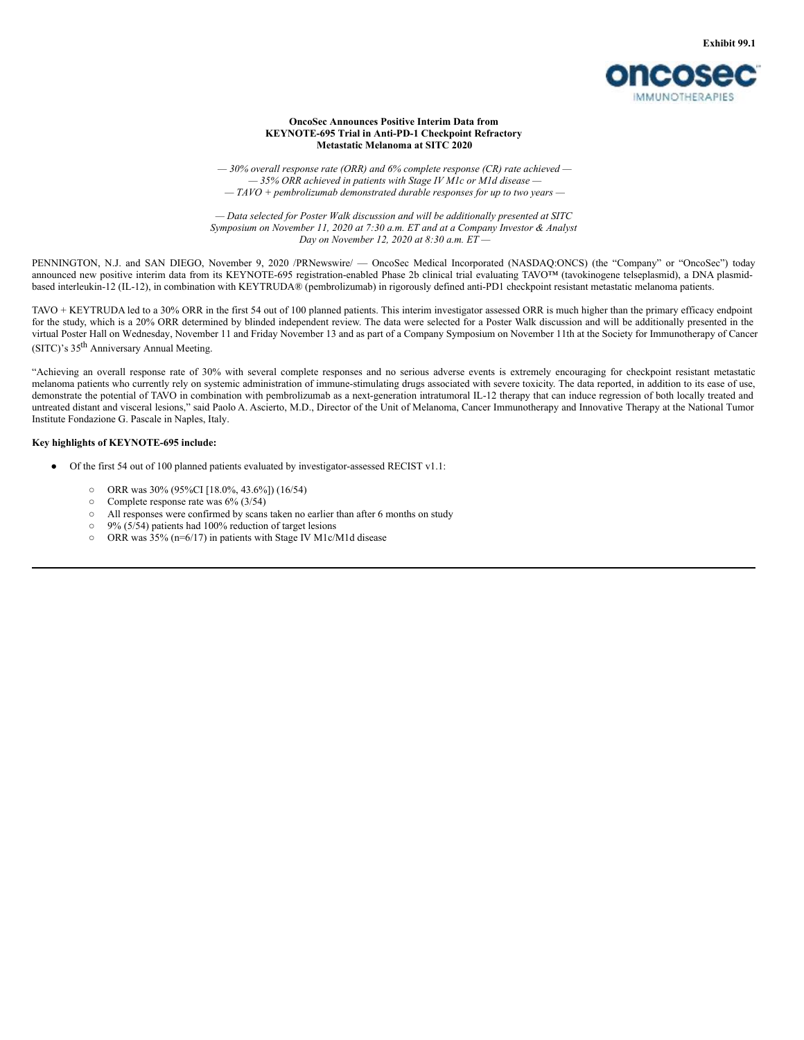

#### **OncoSec Announces Positive Interim Data from KEYNOTE-695 Trial in Anti-PD-1 Checkpoint Refractory Metastatic Melanoma at SITC 2020**

*— 30% overall response rate (ORR) and 6% complete response (CR) rate achieved — — 35% ORR achieved in patients with Stage IV M1c or M1d disease — — TAVO + pembrolizumab demonstrated durable responses for up to two years —*

*— Data selected for Poster Walk discussion and will be additionally presented at SITC Symposium on November 11, 2020 at 7:30 a.m. ET and at a Company Investor & Analyst Day on November 12, 2020 at 8:30 a.m. ET —*

PENNINGTON, N.J. and SAN DIEGO, November 9, 2020 /PRNewswire/ — OncoSec Medical Incorporated (NASDAQ:ONCS) (the "Company" or "OncoSec") today announced new positive interim data from its KEYNOTE-695 registration-enabled Phase 2b clinical trial evaluating TAVO™ (tavokinogene telseplasmid), a DNA plasmidbased interleukin-12 (IL-12), in combination with KEYTRUDA® (pembrolizumab) in rigorously defined anti-PD1 checkpoint resistant metastatic melanoma patients.

TAVO + KEYTRUDA led to a 30% ORR in the first 54 out of 100 planned patients. This interim investigator assessed ORR is much higher than the primary efficacy endpoint for the study, which is a 20% ORR determined by blinded independent review. The data were selected for a Poster Walk discussion and will be additionally presented in the virtual Poster Hall on Wednesday, November 11 and Friday November 13 and as part of a Company Symposium on November 11th at the Society for Immunotherapy of Cancer (SITC)'s 35<sup>th</sup> Anniversary Annual Meeting.

"Achieving an overall response rate of 30% with several complete responses and no serious adverse events is extremely encouraging for checkpoint resistant metastatic melanoma patients who currently rely on systemic administration of immune-stimulating drugs associated with severe toxicity. The data reported, in addition to its ease of use, demonstrate the potential of TAVO in combination with pembrolizumab as a next-generation intratumoral IL-12 therapy that can induce regression of both locally treated and untreated distant and visceral lesions," said Paolo A. Ascierto, M.D., Director of the Unit of Melanoma, Cancer Immunotherapy and Innovative Therapy at the National Tumor Institute Fondazione G. Pascale in Naples, Italy.

#### **Key highlights of KEYNOTE-695 include:**

- Of the first 54 out of 100 planned patients evaluated by investigator-assessed RECIST v1.1:
	- ORR was 30% (95%CI [18.0%, 43.6%]) (16/54)
	- Complete response rate was 6% (3/54)
	- All responses were confirmed by scans taken no earlier than after 6 months on study
	- 9% (5/54) patients had 100% reduction of target lesions
	- ORR was 35% (n=6/17) in patients with Stage IV M1c/M1d disease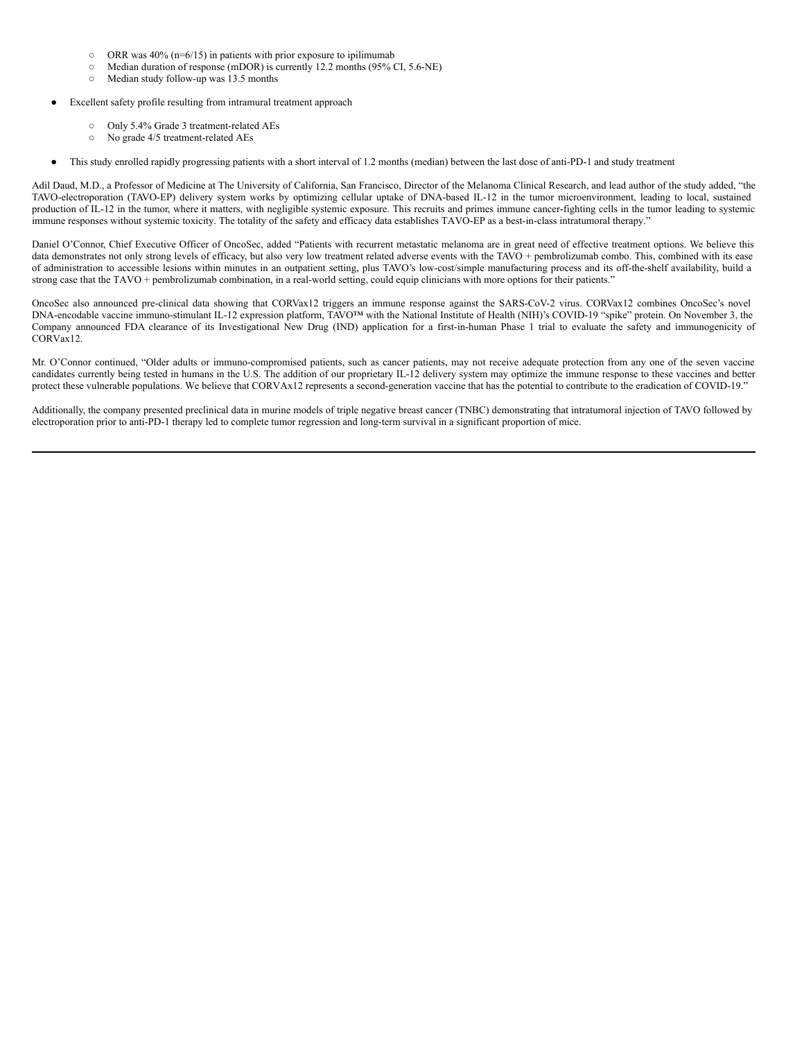- $\circ$  ORR was 40% (n=6/15) in patients with prior exposure to ipilimumab
- Median duration of response (mDOR) is currently 12.2 months (95% CI, 5.6-NE)
- Median study follow-up was 13.5 months
- Excellent safety profile resulting from intramural treatment approach
	- Only 5.4% Grade 3 treatment-related AEs
	- No grade 4/5 treatment-related AEs
- This study enrolled rapidly progressing patients with a short interval of 1.2 months (median) between the last dose of anti-PD-1 and study treatment

Adil Daud, M.D., a Professor of Medicine at The University of California, San Francisco, Director of the Melanoma Clinical Research, and lead author of the study added, "the TAVO-electroporation (TAVO-EP) delivery system works by optimizing cellular uptake of DNA-based IL-12 in the tumor microenvironment, leading to local, sustained production of IL-12 in the tumor, where it matters, with negligible systemic exposure. This recruits and primes immune cancer-fighting cells in the tumor leading to systemic immune responses without systemic toxicity. The totality of the safety and efficacy data establishes TAVO-EP as a best-in-class intratumoral therapy."

Daniel O'Connor, Chief Executive Officer of OncoSec, added "Patients with recurrent metastatic melanoma are in great need of effective treatment options. We believe this data demonstrates not only strong levels of efficacy, but also very low treatment related adverse events with the TAVO + pembrolizumab combo. This, combined with its ease of administration to accessible lesions within minutes in an outpatient setting, plus TAVO's low-cost/simple manufacturing process and its off-the-shelf availability, build a strong case that the TAVO + pembrolizumab combination, in a real-world setting, could equip clinicians with more options for their patients."

OncoSec also announced pre-clinical data showing that CORVax12 triggers an immune response against the SARS-CoV-2 virus. CORVax12 combines OncoSec's novel DNA-encodable vaccine immuno-stimulant IL-12 expression platform, TAVO<sup>™</sup> with the National Institute of Health (NIH)'s COVID-19 "spike" protein. On November 3, the Company announced FDA clearance of its Investigational New Drug (IND) application for a first-in-human Phase 1 trial to evaluate the safety and immunogenicity of CORVax12.

Mr. O'Connor continued, "Older adults or immuno-compromised patients, such as cancer patients, may not receive adequate protection from any one of the seven vaccine candidates currently being tested in humans in the U.S. The addition of our proprietary IL-12 delivery system may optimize the immune response to these vaccines and better protect these vulnerable populations. We believe that CORVAx12 represents a second-generation vaccine that has the potential to contribute to the eradication of COVID-19."

Additionally, the company presented preclinical data in murine models of triple negative breast cancer (TNBC) demonstrating that intratumoral injection of TAVO followed by electroporation prior to anti-PD-1 therapy led to complete tumor regression and long-term survival in a significant proportion of mice.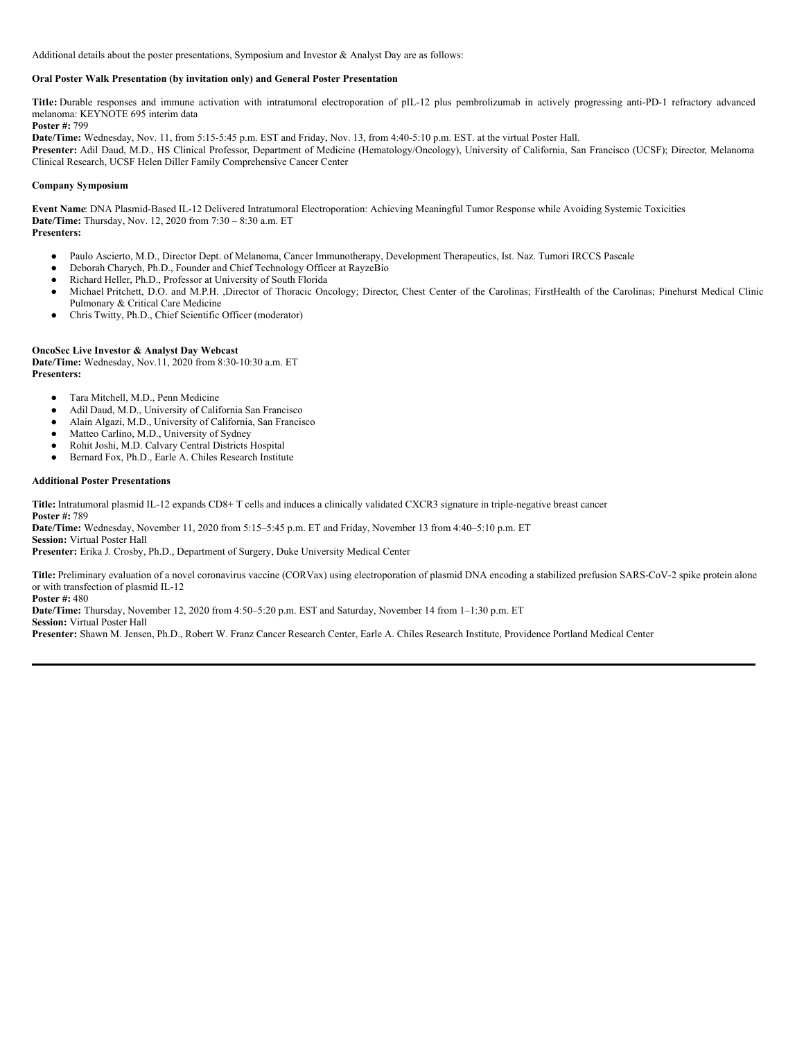<span id="page-5-0"></span>Additional details about the poster presentations, Symposium and Investor & Analyst Day are as follows:

# **Oral Poster Walk Presentation (by invitation only) and General Poster Presentation**

**Title:** Durable responses and immune activation with intratumoral electroporation of pIL-12 plus pembrolizumab in actively progressing anti-PD-1 refractory advanced melanoma: KEYNOTE 695 interim data

**Poster #:** 799 **Date/Time:** Wednesday, Nov. 11, from 5:15-5:45 p.m. EST and Friday, Nov. 13, from 4:40-5:10 p.m. EST. at the virtual Poster Hall.

**Presenter:** Adil Daud, M.D., HS Clinical Professor, Department of Medicine (Hematology/Oncology), University of California, San Francisco (UCSF); Director, Melanoma Clinical Research, UCSF Helen Diller Family Comprehensive Cancer Center

## **Company Symposium**

**Event Name**: DNA Plasmid-Based IL-12 Delivered Intratumoral Electroporation: Achieving Meaningful Tumor Response while Avoiding Systemic Toxicities **Date/Time:** Thursday, Nov. 12, 2020 from 7:30 – 8:30 a.m. ET **Presenters:**

- Paulo Ascierto, M.D., Director Dept. of Melanoma, Cancer Immunotherapy, Development Therapeutics, Ist. Naz. Tumori IRCCS Pascale
- Deborah Charych, Ph.D., Founder and Chief Technology Officer at RayzeBio
- Richard Heller, Ph.D., Professor at University of South Florida
- Michael Pritchett, D.O. and M.P.H. ,Director of Thoracic Oncology; Director, Chest Center of the Carolinas; FirstHealth of the Carolinas; Pinehurst Medical Clinic Pulmonary & Critical Care Medicine
- Chris Twitty, Ph.D., Chief Scientific Officer (moderator)

# **OncoSec Live Investor & Analyst Day Webcast**

**Date/Time:** Wednesday, Nov.11, 2020 from 8:30-10:30 a.m. ET **Presenters:**

- Tara Mitchell, M.D., Penn Medicine
- Adil Daud, M.D., University of California San Francisco
- Alain Algazi, M.D., University of California, San Francisco
- Matteo Carlino, M.D., University of Sydney
- Rohit Joshi, M.D. Calvary Central Districts Hospital
- Bernard Fox, Ph.D., Earle A. Chiles Research Institute

#### **Additional Poster Presentations**

**Title:** Intratumoral plasmid IL-12 expands CD8+ T cells and induces a clinically validated CXCR3 signature in triple-negative breast cancer **Poster #:** 789

**Date/Time:** Wednesday, November 11, 2020 from 5:15–5:45 p.m. ET and Friday, November 13 from 4:40–5:10 p.m. ET

**Session:** Virtual Poster Hall

**Presenter:** Erika J. Crosby, Ph.D., Department of Surgery, Duke University Medical Center

**Title:** Preliminary evaluation of a novel coronavirus vaccine (CORVax) using electroporation of plasmid DNA encoding a stabilized prefusion SARS-CoV-2 spike protein alone or with transfection of plasmid IL-12

**Poster #:** 480

**Date/Time:** Thursday, November 12, 2020 from 4:50–5:20 p.m. EST and Saturday, November 14 from 1–1:30 p.m. ET

**Session:** Virtual Poster Hall

**Presenter:** Shawn M. Jensen, Ph.D., Robert W. Franz Cancer Research Center, Earle A. Chiles Research Institute, Providence Portland Medical Center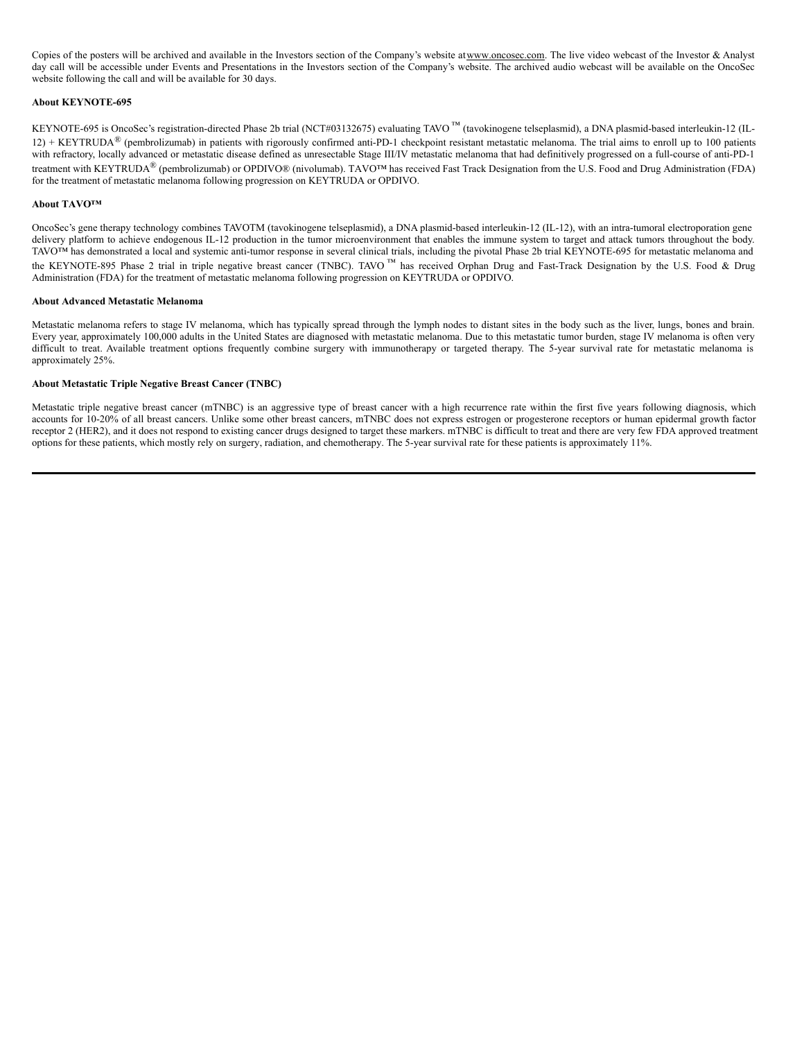Copies of the posters will be archived and available in the Investors section of the Company's website atwww.oncosec.com. The live video webcast of the Investor & Analyst day call will be accessible under Events and Presentations in the Investors section of the Company's website. The archived audio webcast will be available on the OncoSec website following the call and will be available for 30 days.

### **About KEYNOTE-695**

KEYNOTE-695 is OncoSec's registration-directed Phase 2b trial (NCT#03132675) evaluating TAVO ™ (tavokinogene telseplasmid), a DNA plasmid-based interleukin-12 (IL-12) + KEYTRUDA<sup>®</sup> (pembrolizumab) in patients with rigorously confirmed anti-PD-1 checkpoint resistant metastatic melanoma. The trial aims to enroll up to 100 patients with refractory, locally advanced or metastatic disease defined as unresectable Stage III/IV metastatic melanoma that had definitively progressed on a full-course of anti-PD-1 treatment with KEYTRUDA® (pembrolizumab) or OPDIVO® (nivolumab). TAVO™ has received Fast Track Designation from the U.S. Food and Drug Administration (FDA) for the treatment of metastatic melanoma following progression on KEYTRUDA or OPDIVO.

#### **About TAVO™**

OncoSec's gene therapy technology combines TAVOTM (tavokinogene telseplasmid), a DNA plasmid-based interleukin-12 (IL-12), with an intra-tumoral electroporation gene delivery platform to achieve endogenous IL-12 production in the tumor microenvironment that enables the immune system to target and attack tumors throughout the body. TAVO<sup>TM</sup> has demonstrated a local and systemic anti-tumor response in several clinical trials, including the pivotal Phase 2b trial KEYNOTE-695 for metastatic melanoma and the KEYNOTE-895 Phase 2 trial in triple negative breast cancer (TNBC). TAVO<sup>™</sup> has received Orphan Drug and Fast-Track Designation by the U.S. Food & Drug Administration (FDA) for the treatment of metastatic melanoma following progression on KEYTRUDA or OPDIVO.

#### **About Advanced Metastatic Melanoma**

Metastatic melanoma refers to stage IV melanoma, which has typically spread through the lymph nodes to distant sites in the body such as the liver, lungs, bones and brain. Every year, approximately 100,000 adults in the United States are diagnosed with metastatic melanoma. Due to this metastatic tumor burden, stage IV melanoma is often very difficult to treat. Available treatment options frequently combine surgery with immunotherapy or targeted therapy. The 5-year survival rate for metastatic melanoma is approximately 25%.

# **About Metastatic Triple Negative Breast Cancer (TNBC)**

Metastatic triple negative breast cancer (mTNBC) is an aggressive type of breast cancer with a high recurrence rate within the first five years following diagnosis, which accounts for 10-20% of all breast cancers. Unlike some other breast cancers, mTNBC does not express estrogen or progesterone receptors or human epidermal growth factor receptor 2 (HER2), and it does not respond to existing cancer drugs designed to target these markers. mTNBC is difficult to treat and there are very few FDA approved treatment options for these patients, which mostly rely on surgery, radiation, and chemotherapy. The 5-year survival rate for these patients is approximately 11%.